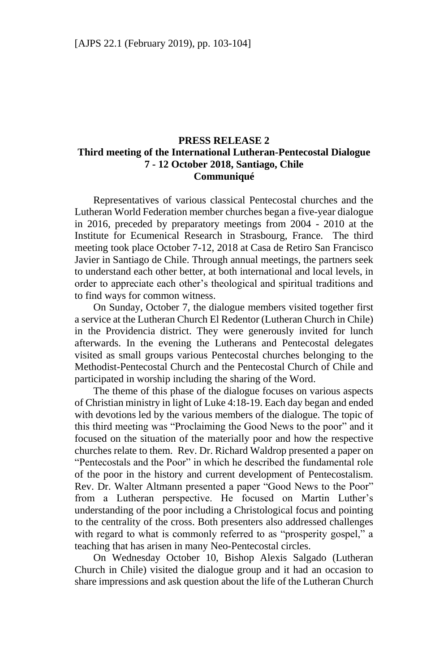## **PRESS RELEASE 2 Third meeting of the International Lutheran-Pentecostal Dialogue 7 - 12 October 2018, Santiago, Chile Communiqué**

Representatives of various classical Pentecostal churches and the Lutheran World Federation member churches began a five-year dialogue in 2016, preceded by preparatory meetings from 2004 - 2010 at the Institute for Ecumenical Research in Strasbourg, France. The third meeting took place October 7-12, 2018 at Casa de Retiro San Francisco Javier in Santiago de Chile. Through annual meetings, the partners seek to understand each other better, at both international and local levels, in order to appreciate each other's theological and spiritual traditions and to find ways for common witness.

On Sunday, October 7, the dialogue members visited together first a service at the Lutheran Church El Redentor (Lutheran Church in Chile) in the Providencia district. They were generously invited for lunch afterwards. In the evening the Lutherans and Pentecostal delegates visited as small groups various Pentecostal churches belonging to the Methodist-Pentecostal Church and the Pentecostal Church of Chile and participated in worship including the sharing of the Word.

The theme of this phase of the dialogue focuses on various aspects of Christian ministry in light of Luke 4:18-19. Each day began and ended with devotions led by the various members of the dialogue. The topic of this third meeting was "Proclaiming the Good News to the poor" and it focused on the situation of the materially poor and how the respective churches relate to them. Rev. Dr. Richard Waldrop presented a paper on "Pentecostals and the Poor" in which he described the fundamental role of the poor in the history and current development of Pentecostalism. Rev. Dr. Walter Altmann presented a paper "Good News to the Poor" from a Lutheran perspective. He focused on Martin Luther's understanding of the poor including a Christological focus and pointing to the centrality of the cross. Both presenters also addressed challenges with regard to what is commonly referred to as "prosperity gospel," a teaching that has arisen in many Neo-Pentecostal circles.

On Wednesday October 10, Bishop Alexis Salgado (Lutheran Church in Chile) visited the dialogue group and it had an occasion to share impressions and ask question about the life of the Lutheran Church